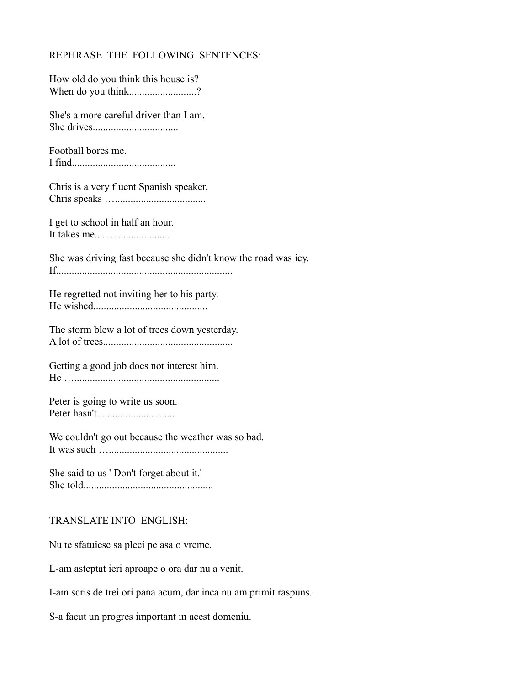## REPHRASE THE FOLLOWING SENTENCES:

| How old do you think this house is? |  |
|-------------------------------------|--|
| When do you think?                  |  |

She's a more careful driver than I am. She drives.................................

Football bores me. I find........................................

Chris is a very fluent Spanish speaker. Chris speaks …...................................

I get to school in half an hour. It takes me.............................

She was driving fast because she didn't know the road was icy. If....................................................................

He regretted not inviting her to his party. He wished............................................

The storm blew a lot of trees down yesterday. A lot of trees..................................................

Getting a good job does not interest him. He ……………………………………………………

Peter is going to write us soon. Peter hasn't..............................

We couldn't go out because the weather was so bad. It was such …..............................................

She said to us ' Don't forget about it.' She told..................................................

## TRANSLATE INTO ENGLISH:

Nu te sfatuiesc sa pleci pe asa o vreme.

L-am asteptat ieri aproape o ora dar nu a venit.

I-am scris de trei ori pana acum, dar inca nu am primit raspuns.

S-a facut un progres important in acest domeniu.